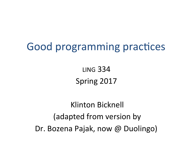# Good programming practices

**LING 334** Spring 2017

Klinton Bicknell (adapted from version by Dr. Bozena Pajak, now @ Duolingo)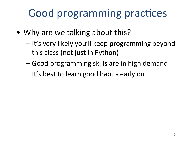# Good programming practices

- Why are we talking about this?
	- $-$  It's very likely you'll keep programming beyond this class (not just in Python)
	- Good programming skills are in high demand
	- $-$  It's best to learn good habits early on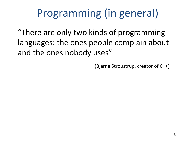"There are only two kinds of programming" languages: the ones people complain about and the ones nobody uses"

(Bjarne Stroustrup, creator of  $C++$ )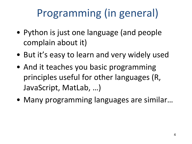- Python is just one language (and people complain about it)
- But it's easy to learn and very widely used
- And it teaches you basic programming principles useful for other languages (R, JavaScript, MatLab, ...)
- Many programming languages are similar...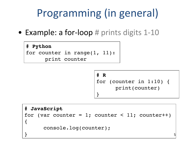• Example: a for-loop # prints digits  $1-10$ 

```
# Python
for counter in range(1, 11):
      print counter
```


for (counter in 1:10) { print(counter)

5\$

```
# JavaScript
for (var counter = 1; counter < 11; counter++)
{
      console.log(counter);
}
```
}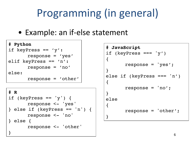• Example: an if-else statement



```
# JavaScript
if (keyPress === 'y')
\{response = 'yes';
} 
else if (keyPress === 'n')
\{response = 'no';
} 
else
\{response = 'other';
}
```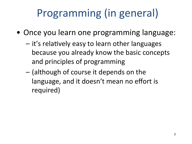- Once you learn one programming language:
	- $-$  it's relatively easy to learn other languages because you already know the basic concepts and principles of programming
	- $-$  (although of course it depends on the language, and it doesn't mean no effort is required)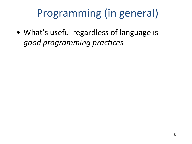• What's useful regardless of language is good programming practices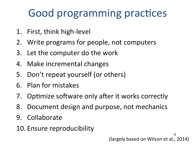# **Good programming practices**

- 1. First, think high-level
- 2. Write programs for people, not computers
- 3. Let the computer do the work
- 4. Make incremental changes
- 5. Don't repeat yourself (or others)
- 6. Plan for mistakes
- 7. Optimize software only after it works correctly
- 8. Document design and purpose, not mechanics
- 9. Collaborate
- 10. Ensure reproducibility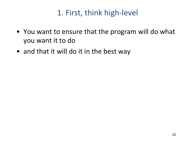- You want to ensure that the program will do what you want it to do
- and that it will do it in the best way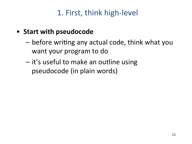- Start with pseudocode
	- before writing any actual code, think what you want your program to do
	- it's useful to make an outline using pseudocode (in plain words)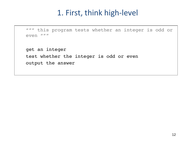""" this program tests whether an integer is odd or even """

get an integer test whether the integer is odd or even output the answer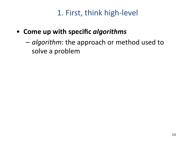- Come up with specific algorithms
	- algorithm: the approach or method used to solve a problem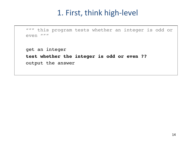""" this program tests whether an integer is odd or even """

get an integer **test whether the integer is odd or even ??** output the answer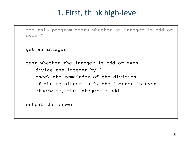""" this program tests whether an integer is odd or even """

get an integer

test whether the integer is odd or even divide the integer by 2 check the remainder of the division if the remainder is 0, the integer is even otherwise, the integer is odd

output the answer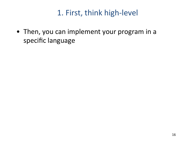• Then, you can implement your program in a specific language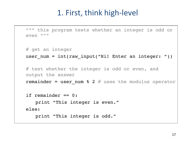""" this program tests whether an integer is odd or even """

```
# get an integer
user num = int(raw input("Hi! Enter an integer: "))
```
# test whether the integer is odd or even, and output the answer

```
remainder = user num \frac{2}{3} # uses the modulus operator
```

```
if remainder == 0:
   print "This integer is even."
else:
   print "This integer is odd."
```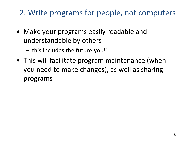- Make your programs easily readable and understandable by others
	- $-$  this includes the future-you!!
- This will facilitate program maintenance (when you need to make changes), as well as sharing programs\$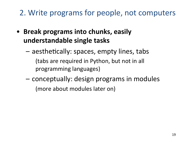- Break programs into chunks, easily **understandable single tasks** 
	- $-$  aesthetically: spaces, empty lines, tabs (tabs are required in Python, but not in all programming languages)
	- $-$  conceptually: design programs in modules (more about modules later on)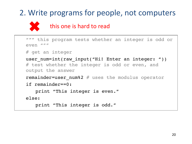

#### this one is hard to read

```
""" this program tests whether an integer is odd or
even """
```

```
# get an integer
```

```
user num=int(raw input("Hi! Enter an integer: "))
# test whether the integer is odd or even, and 
output the answer
```

```
remainder=user num%2 # uses the modulus operator
```

```
if remainder==0:
```
print "This integer is even."

else:

print "This integer is odd."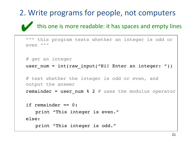#### this one is more readable: it has spaces and empty lines

```
""" this program tests whether an integer is odd or
even """
```

```
# get an integer
user num = int(raw input("Hi! Enter an integer: "))
# test whether the integer is odd or even, and 
output the answer
remainder = user num \frac{2}{3} # uses the modulus operator
if remainder == 0:
   print "This integer is even."
else:
```

```
print "This integer is odd."
```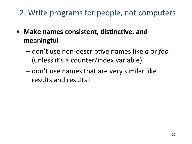- Make names consistent, distinctive, and **meaningful%**
	- $-$  don't use non-descriptive names like *a* or *foo* (unless it's a counter/index variable)
	- $-$  don't use names that are very similar like results and results1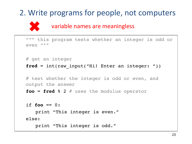

#### variable names are meaningless

```
""" this program tests whether an integer is odd or
even """
```

```
# get an integer
fred = int(raw input("Hi! Enter an integer: "))
```

```
# test whether the integer is odd or even, and 
output the answer
```

```
foo = fred % 2 # uses the modulus operator
```

```
if foo == 0:
```
print "This integer is even."

else:

```
print "This integer is odd."
```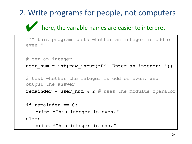#### here, the variable names are easier to interpret

""" this program tests whether an integer is odd or even """

```
# get an integer
user num = int(raw input("Hi! Enter an integer: "))
```
# test whether the integer is odd or even, and output the answer

remainder = user num  $\frac{2}{3}$  # uses the modulus operator

```
if remainder == 0:
   print "This integer is even."
```
else:

print "This integer is odd."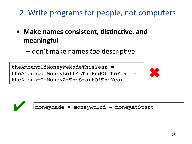- Make names consistent, distinctive, and meaningful
	- don't make names too descriptive

 $the$ AmountOfMoneyWeMadeThisYear = theAmountOfMoneyLeftAtTheEndOfTheYear theAmountOfMoneyAtTheStartOfTheYear





moneyMade = moneyAtEnd - moneyAtStart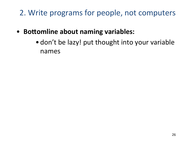- Bottomline about naming variables:
	- don't be lazy! put thought into your variable names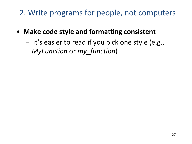- Make code style and formatting consistent
	- it's easier to read if you pick one style (e.g., MyFunction or my function)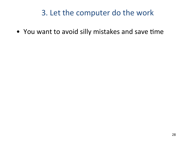• You want to avoid silly mistakes and save time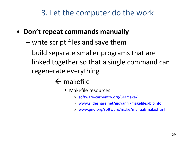- Don't repeat commands manually
	- write script files and save them
	- build separate smaller programs that are linked together so that a single command can regenerate everything

### $\leftarrow$  makefile

- Makefile resources:
	- » software-carpentry.org/v4/make/
	- » www.slideshare.net/giovanni/makefiles-bioinfo
	- » www.gnu.org/software/make/manual/make.html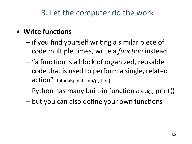#### • Write functions

- if you find yourself writing a similar piece of code multiple times, write a *function* instead
- "a function is a block of organized, reusable code that is used to perform a single, related action" (tutorialspoint.com/python)
- Python has many built-in functions: e.g., print()
- but you can also define your own functions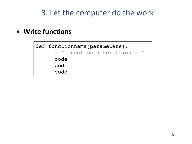• Write functions

```
def functionname(parameters):
           function description """
       H \; H \; Hcode
       code
       code
```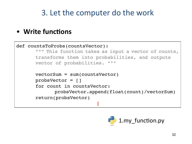#### • Write functions

```
def countsToProbs(countsVector):
       """ This function takes as input a vector of counts,
      transforms them into probabilities, and outputs
      vector of probabilities.
      vectorSum = sum(countsVector)
       probsVector = []
        for count in countsVector:
              probsVector.append(float(count)/vectorSum)
        return(probsVector)
                             I
```
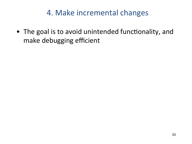#### 4. Make incremental changes

• The goal is to avoid unintended functionality, and make debugging efficient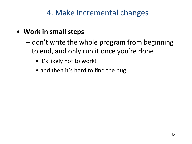### 4. Make incremental changes

- Work in small steps
	- don't write the whole program from beginning to end, and only run it once you're done
		- it's likely not to work!
		- and then it's hard to find the bug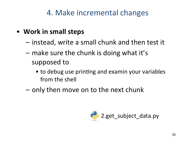## 4. Make incremental changes

- Work in small steps
	- instead, write a small chunk and then test it
	- make sure the chunk is doing what it's supposed to
		- to debug use printing and examin your variables from the shell
	- only then move on to the next chunk

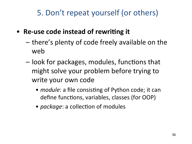- Re-use code instead of rewriting it
	- there's plenty of code freely available on the web
	- look for packages, modules, functions that might solve your problem before trying to write your own code
		- *module*: a file consisting of Python code; it can define functions, variables, classes (for OOP)
		- *package*: a collection of modules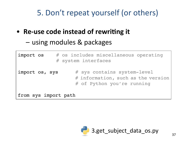• Re-use code instead of rewriting it

#### - using modules & packages

| import os            |  |  | # os includes miscellaneous operating<br># system interfaces                                    |
|----------------------|--|--|-------------------------------------------------------------------------------------------------|
| import os, sys       |  |  | # sys contains system-level<br># information, such as the version<br># of Python you're running |
| from sys import path |  |  |                                                                                                 |

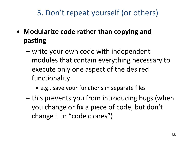- Modularize code rather than copying and pasting
	- write your own code with independent modules that contain everything necessary to execute only one aspect of the desired functionality
		- e.g., save your functions in separate files
	- this prevents you from introducing bugs (when you change or fix a piece of code, but don't change it in "code clones")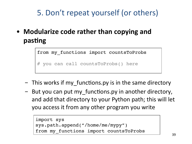• Modularize code rather than copying and pasting

```
from my functions import countsToProbs
 you can call countsToProbs() here
```
- This works if my functions.py is in the same directory
- But you can put my functions.py in another directory, and add that directory to your Python path; this will let you access it from any other program you write

```
import sys
sys.path.append("/home/me/mypy")
from my functions import countsToProbs
```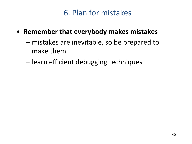#### 6. Plan for mistakes

- Remember that everybody makes mistakes
	- $-$  mistakes are inevitable, so be prepared to make them
	- $-$  learn efficient debugging techniques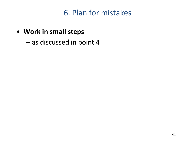#### 6. Plan for mistakes

- Work in small steps
	- as discussed in point 4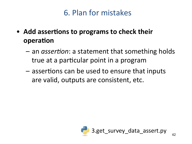#### 6. Plan for mistakes

- Add assertions to programs to check their operation
	- an *assertion*: a statement that something holds true at a particular point in a program
	- assertions can be used to ensure that inputs are valid, outputs are consistent, etc.

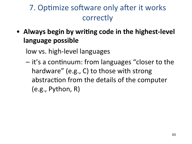• Always begin by writing code in the highest-level language possible

low vs. high-level languages

- it's a continuum: from languages "closer to the hardware" (e.g., C) to those with strong abstraction from the details of the computer  $(e.g., Python, R)$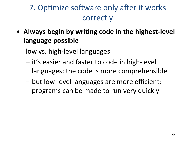• Always begin by writing code in the highest-level language possible

low vs. high-level languages

- it's easier and faster to code in high-level languages; the code is more comprehensible
- but low-level languages are more efficient: programs can be made to run very quickly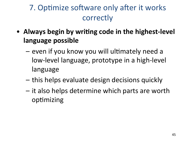- Always begin by writing code in the highest-level language possible
	- even if you know you will ultimately need a low-level language, prototype in a high-level language
	- this helps evaluate design decisions quickly
	- it also helps determine which parts are worth optimizing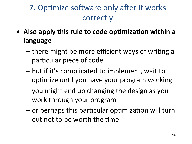- Also apply this rule to code optimization within a language
	- there might be more efficient ways of writing a particular piece of code
	- but if it's complicated to implement, wait to optimize until you have your program working
	- you might end up changing the design as you work through your program
	- or perhaps this particular optimization will turn out not to be worth the time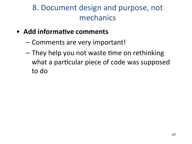- Add informative comments
	- Comments are very important!
	- They help you not waste time on rethinking what a particular piece of code was supposed to do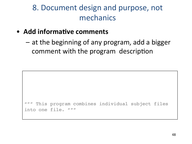- Add informative comments
	- at the beginning of any program, add a bigger comment with the program description

This program combines individual subject files into one file.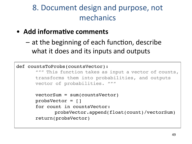- Add informative comments
	- at the beginning of each function, describe what it does and its inputs and outputs

```
def countsToProbs(countsVector):
          This function takes as input a vector of counts,
      transforms them into probabilities, and outputs
      vector of probabilities.
      vectorSum = sum(countsVector)probsVector = []for count in countsVector:
             probsVector.append(float(count)/vectorSum)
      return(probsVector)
```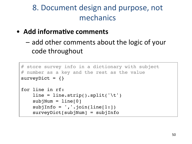- Add informative comments
	- $-$  add other comments about the logic of your code throughout

```
# store survey info in a dictionary with subject 
# number as a key and the rest as the value
surveplot = \{\}for line in rf:
    line = line.start(p().split('t')subjNum = line[0]subjInfo = ', '.join(line[1:]) surveyDict[subjNum] = subjInfo
```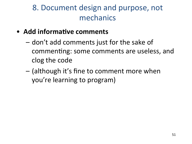- Add informative comments
	- don't add comments just for the sake of commenting: some comments are useless, and clog the code
	- (although it's fine to comment more when you're learning to program)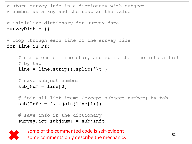```
# store survey info in a dictionary with subject 
# number as a key and the rest as the value
# initialize dictionary for survey data
surveyDict = \{\}# loop through each line of the survey file
for line in rf:
     # strip end of line char, and split the line into a list
     # by tab
    line = line.strip().split('\t')
     # save subject number
    subjNum = line[0] # join all list items (except subject number) by tab
    subjInfo = ', '.join(line[1:]) # save info in the dictionary
     surveyDict[subjNum] = subjInfo
```


some of the commented code is self-evident<br>
some comments only describe the mechanics<br>
<sup>52</sup>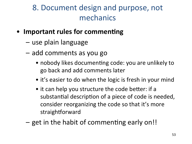- Important rules for commenting
	- use plain language
	- add comments as you go
		- nobody likes documenting code: you are unlikely to go back and add comments later
		- it's easier to do when the logic is fresh in your mind
		- it can help you structure the code better: if a substantial description of a piece of code is needed, consider reorganizing the code so that it's more straightforward
	- get in the habit of commenting early on!!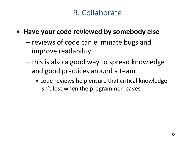#### 9. Collaborate

- Have your code reviewed by somebody else
	- reviews of code can eliminate bugs and improve readability
	- this is also a good way to spread knowledge and good practices around a team
		- code reviews help ensure that critical knowledge isn't lost when the programmer leaves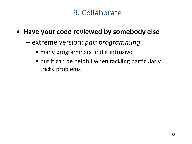#### 9. Collaborate

- Have your code reviewed by somebody else
	- extreme version: pair programming
		- many programmers find it intrusive
		- but it can be helpful when tackling particularly tricky problems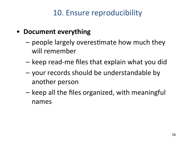# 10. Ensure reproducibility

- Document everything
	- people largely overestimate how much they will remember
	- keep read-me files that explain what you did
	- your records should be understandable by another person
	- keep all the files organized, with meaningful names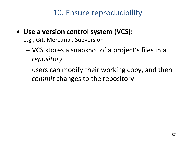## 10. Ensure reproducibility

- Use a version control system (VCS):
	- e.g., Git, Mercurial, Subversion
		- $-$  VCS stores a snapshot of a project's files in a *repository\$*
		- $-$  users can modify their working copy, and then *commit* changes to the repository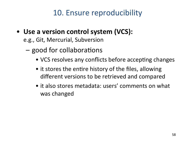# 10. Ensure reproducibility

- Use a version control system (VCS):
	- e.g., Git, Mercurial, Subversion
		- good for collaborations
			- VCS resolves any conflicts before accepting changes
			- it stores the entire history of the files, allowing different versions to be retrieved and compared
			- it also stores metadata: users' comments on what was changed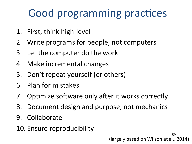# **Good programming practices**

- 1. First, think high-level
- 2. Write programs for people, not computers
- 3. Let the computer do the work
- 4. Make incremental changes
- 5. Don't repeat yourself (or others)
- 6. Plan for mistakes
- 7. Optimize software only after it works correctly
- 8. Document design and purpose, not mechanics
- 9. Collaborate
- 10. Ensure reproducibility